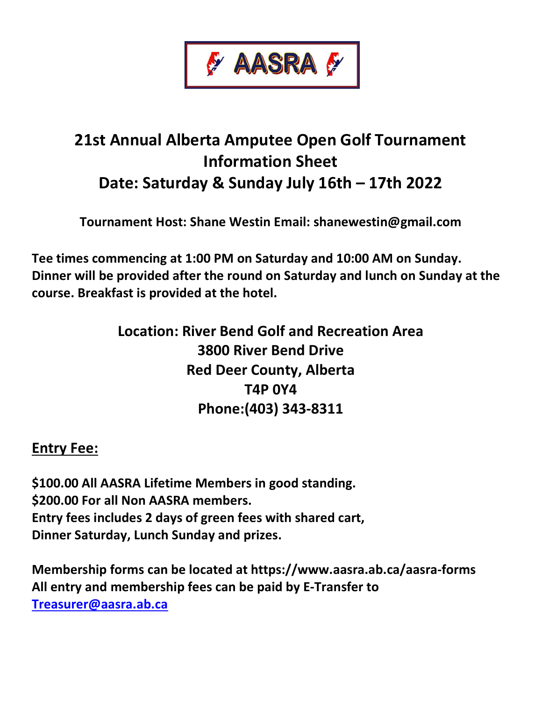

## 21st Annual Alberta Amputee Open Golf Tournament Information Sheet Date: Saturday & Sunday July 16th – 17th 2022

Tournament Host: Shane Westin Email: shanewestin@gmail.com

Tee times commencing at 1:00 PM on Saturday and 10:00 AM on Sunday. Dinner will be provided after the round on Saturday and lunch on Sunday at the course. Breakfast is provided at the hotel.

> Location: River Bend Golf and Recreation Area 3800 River Bend Drive Red Deer County, Alberta T4P 0Y4 Phone:(403) 343-8311

## Entry Fee:

\$100.00 All AASRA Lifetime Members in good standing. \$200.00 For all Non AASRA members. Entry fees includes 2 days of green fees with shared cart, Dinner Saturday, Lunch Sunday and prizes.

Membership forms can be located at https://www.aasra.ab.ca/aasra-forms All entry and membership fees can be paid by E-Transfer to Treasurer@aasra.ab.ca